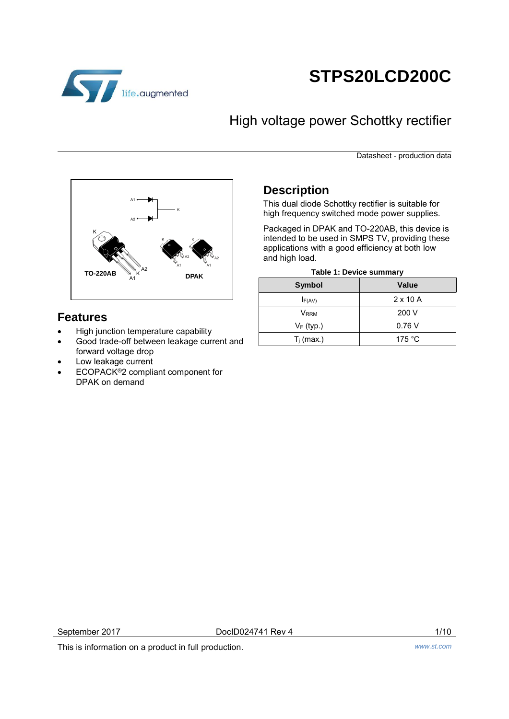

# **STPS20LCD200C**

# High voltage power Schottky rectifier

Datasheet - production data



## **Features**

- High junction temperature capability
- Good trade-off between leakage current and forward voltage drop
- Low leakage current
- ECOPACK®2 compliant component for DPAK on demand

## **Description**

This dual diode Schottky rectifier is suitable for high frequency switched mode power supplies.

Packaged in DPAK and TO-220AB, this device is intended to be used in SMPS TV, providing these applications with a good efficiency at both low and high load.

|  |  |  | Table 1: Device summary |
|--|--|--|-------------------------|
|--|--|--|-------------------------|

| <b>Symbol</b> | Value            |
|---------------|------------------|
| F(AV)         | $2 \times 10$ A  |
| <b>V</b> RRM  | 200 V            |
| $V_F$ (typ.)  | 0.76V            |
| $T_i$ (max.)  | 175 $^{\circ}$ C |

September 2017 **DocID024741 Rev 4** 1/10

This is information on a product in full production. *www.st.com*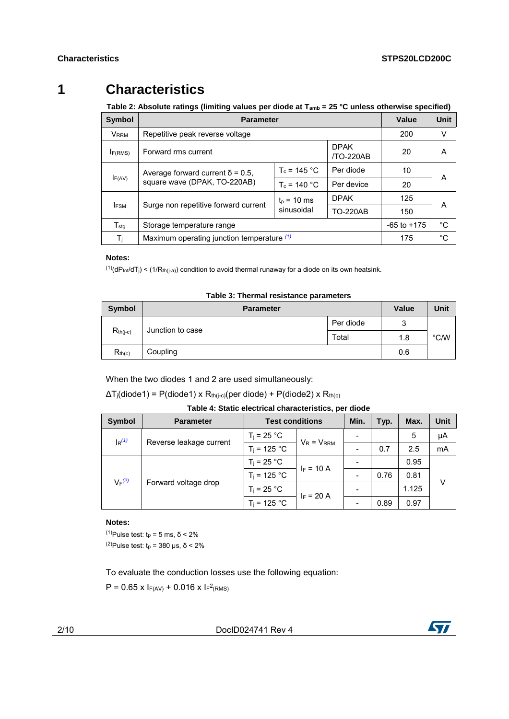## **1 Characteristics**

**Table 2: Absolute ratings (limiting values per diode at Tamb = 25 °C unless otherwise specified)** 

| <b>Symbol</b>           | <b>Parameter</b>                                | Value                       | Unit            |                 |    |  |
|-------------------------|-------------------------------------------------|-----------------------------|-----------------|-----------------|----|--|
| <b>V</b> <sub>RRM</sub> | Repetitive peak reverse voltage                 |                             |                 | 200             | v  |  |
| IF(RMS)                 | <b>DPAK</b><br>Forward rms current<br>/TO-220AB |                             | 20              | A               |    |  |
|                         | Average forward current $\delta$ = 0.5,         | $T_c = 145 °C$              | Per diode       | 10              |    |  |
|                         | F(AV)<br>square wave (DPAK, TO-220AB)           |                             | Per device      | 20              | A  |  |
|                         |                                                 | $t_0$ = 10 ms<br>sinusoidal | <b>DPAK</b>     | 125             |    |  |
| <b>FSM</b>              | Surge non repetitive forward current            |                             | <b>TO-220AB</b> | 150             | A  |  |
| $T_{\sf stq}$           | Storage temperature range                       |                             |                 | $-65$ to $+175$ | °C |  |
| $T_{j}$                 | Maximum operating junction temperature (1)      |                             |                 | 175             | °C |  |

#### **Notes:**

<span id="page-1-0"></span> $(1)(dP_{tot}/dT_j)$  <  $(1/R_{th(j-a)})$  condition to avoid thermal runaway for a diode on its own heatsink.

| Symbol        | <b>Parameter</b> | <b>Value</b> | Unit |               |
|---------------|------------------|--------------|------|---------------|
|               |                  | Per diode    | 3    |               |
| $R_{th(j-c)}$ | Junction to case | Total        | 1.8  | $\degree$ C/W |
| $R_{th(c)}$   | Coupling         |              | 0.6  |               |

**Table 3: Thermal resistance parameters** 

When the two diodes 1 and 2 are used simultaneously:

 $\Delta T_j$ (diode1) = P(diode1) x R<sub>th(j-c)</sub>(per diode) + P(diode2) x R<sub>th(c)</sub>

| <b>Symbol</b>                       | <b>Parameter</b>     | <b>Test conditions</b> |                 | Min. | Typ. | Max.  | Unit |
|-------------------------------------|----------------------|------------------------|-----------------|------|------|-------|------|
| $\lg(1)$<br>Reverse leakage current |                      | $T_i$ = 25 °C.         | $V_R = V_{RRM}$ |      |      | 5     | μA   |
|                                     |                      | $T_i = 125 °C$         |                 |      | 0.7  | 2.5   | mA   |
| $V_F(2)$                            |                      | $T_i$ = 25 °C          | $I_F = 10 A$    |      |      | 0.95  |      |
|                                     | Forward voltage drop | $T_i = 125 °C$         |                 |      | 0.76 | 0.81  |      |
|                                     |                      | $T_i$ = 25 °C          | $I_F = 20 A$    |      |      | 1.125 | V    |
|                                     |                      | $T_i = 125 °C$         |                 |      | 0.89 | 0.97  |      |

#### **Notes:**

<span id="page-1-2"></span><span id="page-1-1"></span> $(1)$ Pulse test: t<sub>p</sub> = 5 ms, δ < 2%  $(2)$ Pulse test: t<sub>p</sub> = 380 μs, δ < 2%

To evaluate the conduction losses use the following equation:

 $P = 0.65$  x  $F(AV) + 0.016$  x  $F^2(RMS)$ 

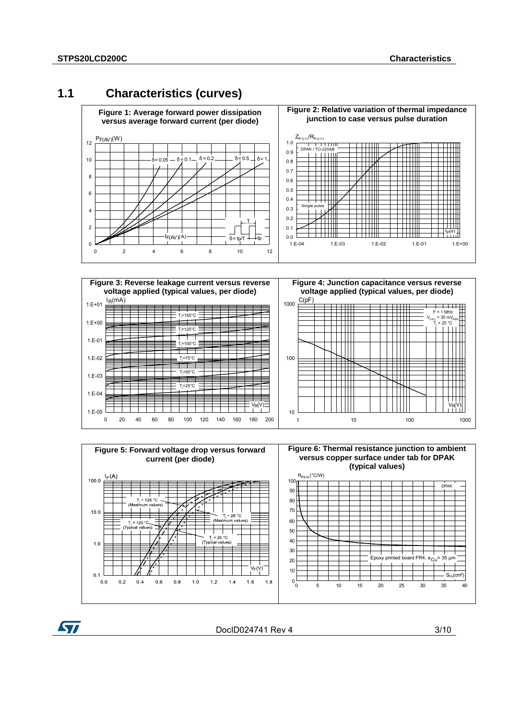ST

## **1.1 Characteristics (curves)**







DocID024741 Rev 4 3/10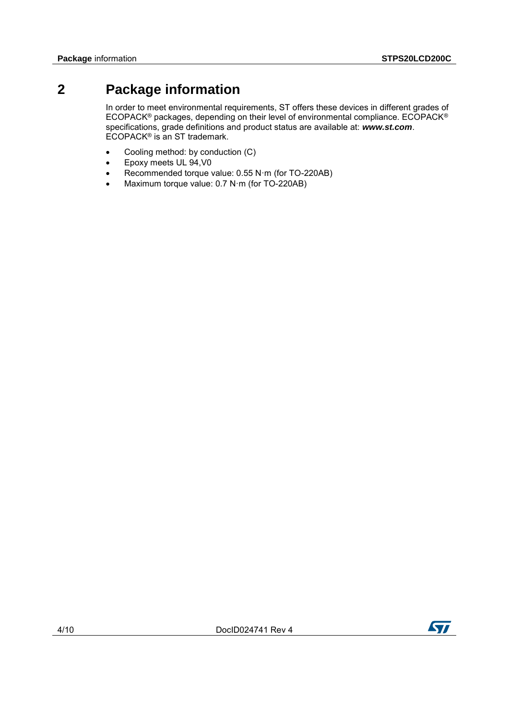## **2 Package information**

In order to meet environmental requirements, ST offers these devices in different grades of ECOPACK® packages, depending on their level of environmental compliance. ECOPACK® specifications, grade definitions and product status are available at: *www.st.com*. ECOPACK® is an ST trademark.

- Cooling method: by conduction (C)
- Epoxy meets UL 94,V0
- Recommended torque value: 0.55 N·m (for TO-220AB)
- Maximum torque value: 0.7 N·m (for TO-220AB)

ST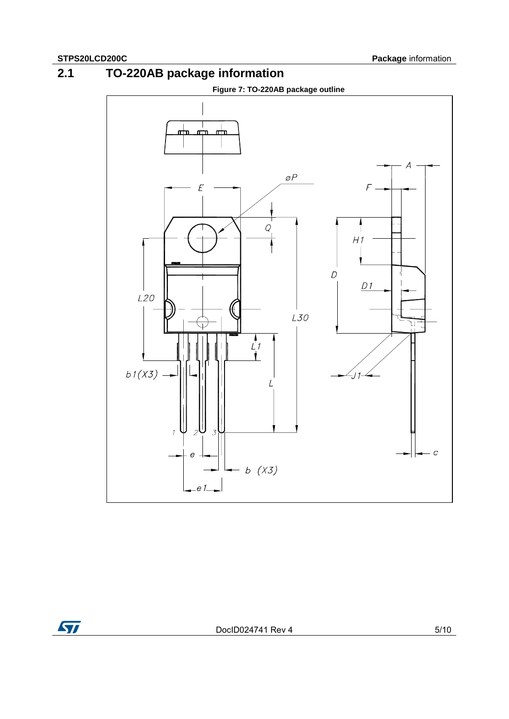**2.1 TO-220AB package information** 



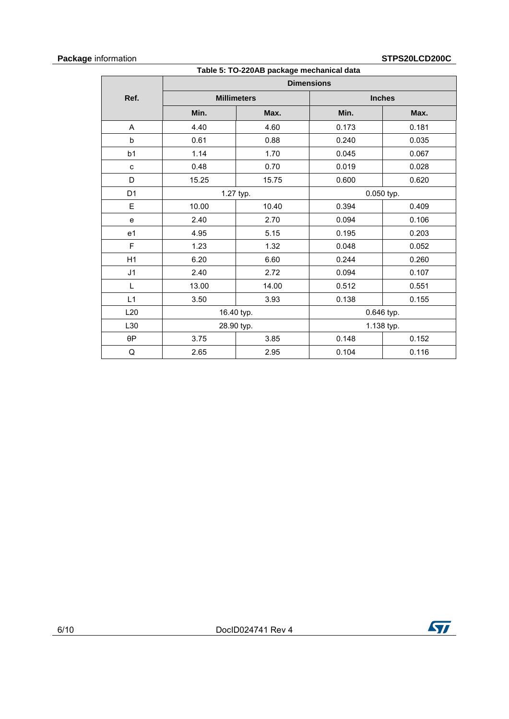#### **Package** information **STPS20LCD200C**

| Table 5: TO-220AB package mechanical data |                    |           |               |       |  |
|-------------------------------------------|--------------------|-----------|---------------|-------|--|
|                                           | <b>Dimensions</b>  |           |               |       |  |
| Ref.                                      | <b>Millimeters</b> |           | <b>Inches</b> |       |  |
|                                           | Min.               | Max.      | Min.          | Max.  |  |
| A                                         | 4.40               | 4.60      | 0.173         | 0.181 |  |
| b                                         | 0.61               | 0.88      | 0.240         | 0.035 |  |
| b <sub>1</sub>                            | 1.14               | 1.70      | 0.045         | 0.067 |  |
| c                                         | 0.48               | 0.70      | 0.019         | 0.028 |  |
| D                                         | 15.25              | 15.75     | 0.600         | 0.620 |  |
| D <sub>1</sub>                            |                    | 1.27 typ. | 0.050 typ.    |       |  |
| E                                         | 10.00              | 10.40     | 0.394         | 0.409 |  |
| e                                         | 2.40               | 2.70      | 0.094         | 0.106 |  |
| e <sub>1</sub>                            | 4.95               | 5.15      | 0.195         | 0.203 |  |
| F                                         | 1.23               | 1.32      | 0.048         | 0.052 |  |
| H1                                        | 6.20               | 6.60      | 0.244         | 0.260 |  |
| J <sub>1</sub>                            | 2.40               | 2.72      | 0.094         | 0.107 |  |
| L                                         | 13.00              | 14.00     | 0.512         | 0.551 |  |
| L1                                        | 3.50               | 3.93      | 0.138         | 0.155 |  |
| L20                                       | 16.40 typ.         |           | 0.646 typ.    |       |  |
| L30                                       | 28.90 typ.         |           | 1.138 typ.    |       |  |
| $\theta P$                                | 3.75               | 3.85      | 0.148         | 0.152 |  |
| Q                                         | 2.65               | 2.95      | 0.104         | 0.116 |  |

 $\sqrt{1}$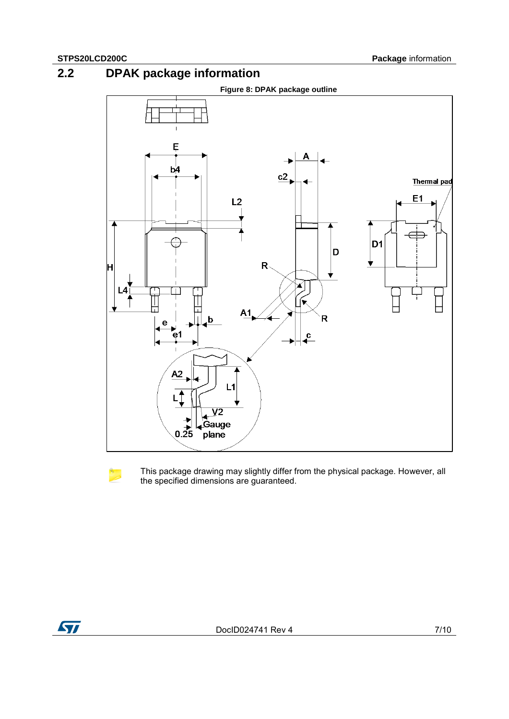**2.2 DPAK package information** 





This package drawing may slightly differ from the physical package. However, all the specified dimensions are guaranteed.

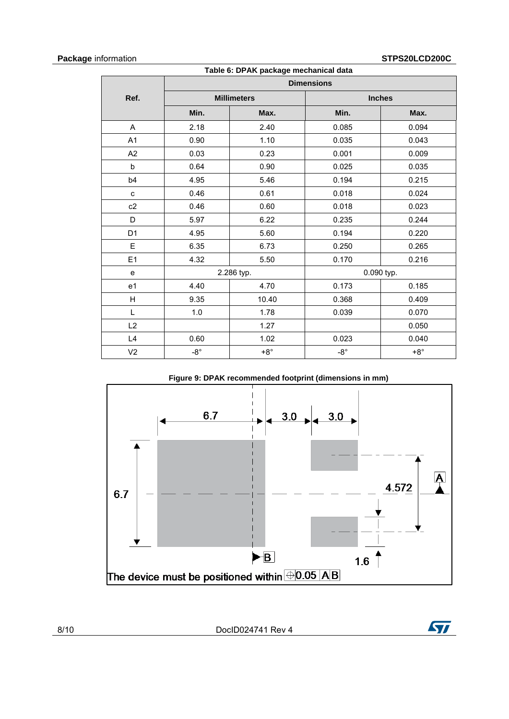### **Package** information **STPS20LCD200C**

 $\sqrt{2}$ 

| Table 6: DPAK package mechanical data |                   |                    |              |               |  |
|---------------------------------------|-------------------|--------------------|--------------|---------------|--|
|                                       | <b>Dimensions</b> |                    |              |               |  |
| Ref.                                  |                   | <b>Millimeters</b> |              | <b>Inches</b> |  |
|                                       | Min.              | Max.               | Min.         | Max.          |  |
| A                                     | 2.18              | 2.40               | 0.085        | 0.094         |  |
| A1                                    | 0.90              | 1.10               | 0.035        | 0.043         |  |
| A2                                    | 0.03              | 0.23               | 0.001        | 0.009         |  |
| b                                     | 0.64              | 0.90               | 0.025        | 0.035         |  |
| b4                                    | 4.95              | 5.46               | 0.194        | 0.215         |  |
| c                                     | 0.46              | 0.61               | 0.018        | 0.024         |  |
| c2                                    | 0.46              | 0.60               | 0.018        | 0.023         |  |
| D                                     | 5.97              | 6.22               | 0.235        | 0.244         |  |
| D <sub>1</sub>                        | 4.95              | 5.60               | 0.194        | 0.220         |  |
| E                                     | 6.35              | 6.73               | 0.250        | 0.265         |  |
| E1                                    | 4.32              | 5.50               | 0.170        | 0.216         |  |
| e                                     |                   | 2.286 typ.         | 0.090 typ.   |               |  |
| e <sub>1</sub>                        | 4.40              | 4.70               | 0.173        | 0.185         |  |
| H                                     | 9.35              | 10.40              | 0.368        | 0.409         |  |
| L                                     | 1.0               | 1.78               | 0.039        | 0.070         |  |
| L2                                    |                   | 1.27               |              | 0.050         |  |
| L4                                    | 0.60              | 1.02               | 0.023        | 0.040         |  |
| V <sub>2</sub>                        | $-8^{\circ}$      | $+8^\circ$         | $-8^{\circ}$ | $+8^\circ$    |  |

#### **Figure 9: DPAK recommended footprint (dimensions in mm)**

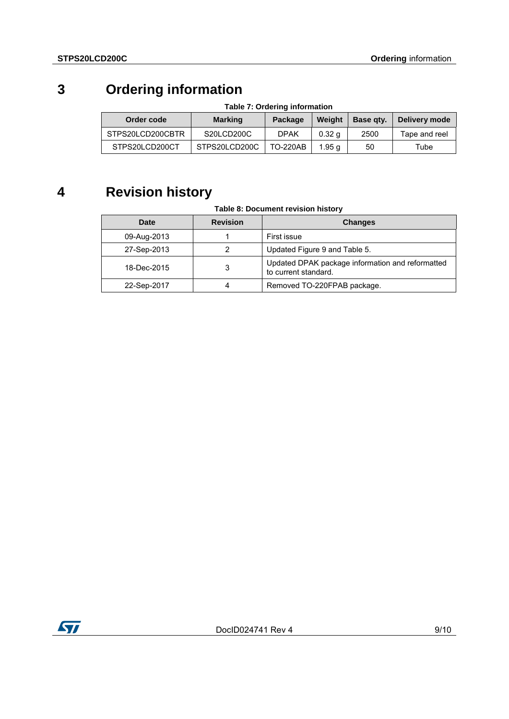# **3 Ordering information**

| Table 7: Ordering information |                |                 |                  |           |               |
|-------------------------------|----------------|-----------------|------------------|-----------|---------------|
| Order code                    | <b>Marking</b> | Package         | Weight           | Base gty. | Delivery mode |
| STPS20LCD200CBTR              | S20LCD200C     | <b>DPAK</b>     | $0.32 \text{ g}$ | 2500      | Tape and reel |
| STPS20LCD200CT                | STPS20LCD200C  | <b>TO-220AB</b> | 1.95 a           | 50        | Tube          |

# **4 Revision history**

### **Table 8: Document revision history**

| <b>Date</b> | <b>Revision</b> | <b>Changes</b>                                                           |
|-------------|-----------------|--------------------------------------------------------------------------|
| 09-Aug-2013 |                 | First issue                                                              |
| 27-Sep-2013 | 2               | Updated Figure 9 and Table 5.                                            |
| 18-Dec-2015 | 3               | Updated DPAK package information and reformatted<br>to current standard. |
| 22-Sep-2017 |                 | Removed TO-220FPAB package.                                              |